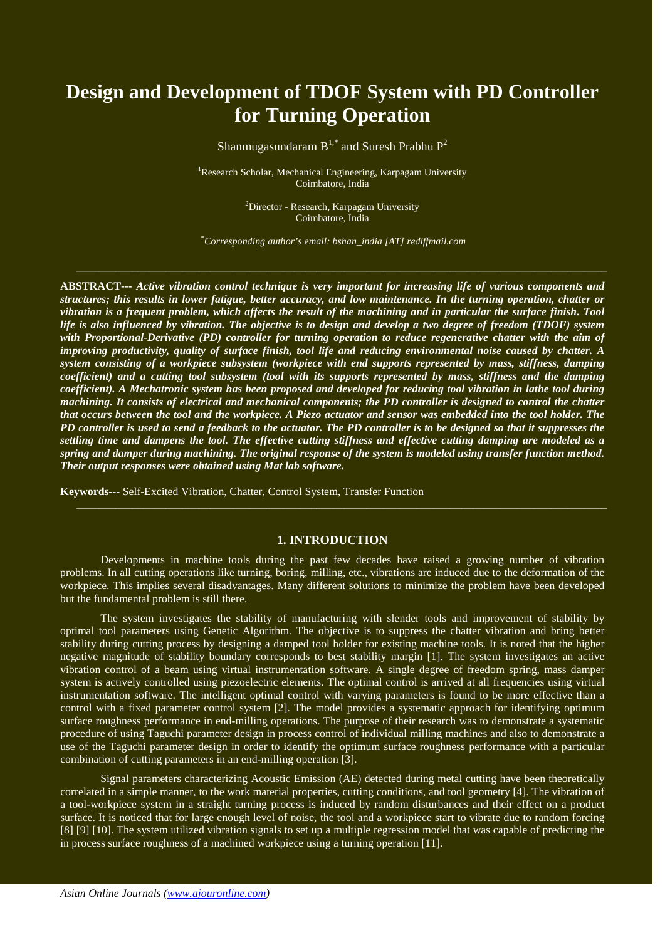# **Design and Development of TDOF System with PD Controller for Turning Operation**

Shanmugasundaram  $B^{1,*}$  and Suresh Prabhu  $P^2$ 

<sup>1</sup>Research Scholar, Mechanical Engineering, Karpagam University Coimbatore, India

> <sup>2</sup>Director - Research, Karpagam University Coimbatore, India

\* *Corresponding author's email: bshan\_india [AT] rediffmail.com*

 $-$  . The contribution of the contribution of the contribution of the contribution of the contribution of the contribution of the contribution of the contribution of the contribution of the contribution of the contributio

**ABSTRACT---** *Active vibration control technique is very important for increasing life of various components and structures; this results in lower fatigue, better accuracy, and low maintenance. In the turning operation, chatter or vibration is a frequent problem, which affects the result of the machining and in particular the surface finish. Tool life is also influenced by vibration. The objective is to design and develop a two degree of freedom (TDOF) system with Proportional-Derivative (PD) controller for turning operation to reduce regenerative chatter with the aim of improving productivity, quality of surface finish, tool life and reducing environmental noise caused by chatter. A system consisting of a workpiece subsystem (workpiece with end supports represented by mass, stiffness, damping coefficient) and a cutting tool subsystem (tool with its supports represented by mass, stiffness and the damping coefficient). A Mechatronic system has been proposed and developed for reducing tool vibration in lathe tool during machining. It consists of electrical and mechanical components; the PD controller is designed to control the chatter that occurs between the tool and the workpiece. A Piezo actuator and sensor was embedded into the tool holder. The PD controller is used to send a feedback to the actuator. The PD controller is to be designed so that it suppresses the settling time and dampens the tool. The effective cutting stiffness and effective cutting damping are modeled as a spring and damper during machining. The original response of the system is modeled using transfer function method. Their output responses were obtained using Mat lab software.*

**Keywords---** Self-Excited Vibration, Chatter, Control System, Transfer Function

#### **1. INTRODUCTION**

 $-$  . The contribution of the contribution of the contribution of the contribution of the contribution of the contribution of the contribution of the contribution of the contribution of the contribution of the contributio

Developments in machine tools during the past few decades have raised a growing number of vibration problems. In all cutting operations like turning, boring, milling, etc., vibrations are induced due to the deformation of the workpiece. This implies several disadvantages. Many different solutions to minimize the problem have been developed but the fundamental problem is still there.

The system investigates the stability of manufacturing with slender tools and improvement of stability by optimal tool parameters using Genetic Algorithm. The objective is to suppress the chatter vibration and bring better stability during cutting process by designing a damped tool holder for existing machine tools. It is noted that the higher negative magnitude of stability boundary corresponds to best stability margin [1]. The system investigates an active vibration control of a beam using virtual instrumentation software. A single degree of freedom spring, mass damper system is actively controlled using piezoelectric elements. The optimal control is arrived at all frequencies using virtual instrumentation software. The intelligent optimal control with varying parameters is found to be more effective than a control with a fixed parameter control system [2]. The model provides a systematic approach for identifying optimum surface roughness performance in end-milling operations. The purpose of their research was to demonstrate a systematic procedure of using Taguchi parameter design in process control of individual milling machines and also to demonstrate a use of the Taguchi parameter design in order to identify the optimum surface roughness performance with a particular combination of cutting parameters in an end-milling operation [3].

Signal parameters characterizing Acoustic Emission (AE) detected during metal cutting have been theoretically correlated in a simple manner, to the work material properties, cutting conditions, and tool geometry [4]. The vibration of a tool-workpiece system in a straight turning process is induced by random disturbances and their effect on a product surface. It is noticed that for large enough level of noise, the tool and a workpiece start to vibrate due to random forcing [8] [9] [10]. The system utilized vibration signals to set up a multiple regression model that was capable of predicting the in process surface roughness of a machined workpiece using a turning operation [11].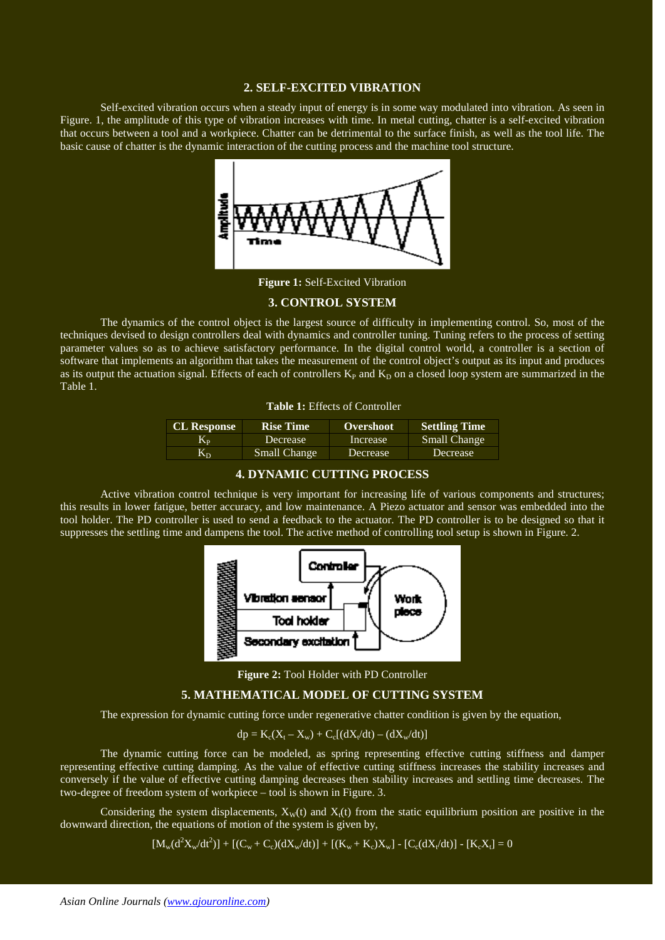#### **2. SELF-EXCITED VIBRATION**

Self-excited vibration occurs when a steady input of energy is in some way modulated into vibration. As seen in Figure. 1, the amplitude of this type of vibration increases with time. In metal cutting, chatter is a self-excited vibration that occurs between a tool and a workpiece. Chatter can be detrimental to the surface finish, as well as the tool life. The basic cause of chatter is the dynamic interaction of the cutting process and the machine tool structure.



**Figure 1:** Self-Excited Vibration

## **3. CONTROL SYSTEM**

The dynamics of the control object is the largest source of difficulty in implementing control. So, most of the techniques devised to design controllers deal with dynamics and controller tuning. Tuning refers to the process of setting parameter values so as to achieve satisfactory performance. In the digital control world, a controller is a section of software that implements an algorithm that takes the measurement of the control object's output as its input and produces as its output the actuation signal. Effects of each of controllers  $K<sub>P</sub>$  and  $K<sub>D</sub>$  on a closed loop system are summarized in the Table 1.

| <b>Table 1:</b> Effects of Controller |  |  |
|---------------------------------------|--|--|
|---------------------------------------|--|--|

| <b>CL Response</b> | <b>Rise Time</b>    | <b>Overshoot</b> | <b>Settling Time</b> |
|--------------------|---------------------|------------------|----------------------|
| Kр                 | Decrease            | Increase         | Small Change         |
| Kъ                 | <b>Small Change</b> | Decrease         | Decrease             |

## **4. DYNAMIC CUTTING PROCESS**

Active vibration control technique is very important for increasing life of various components and structures; this results in lower fatigue, better accuracy, and low maintenance. A Piezo actuator and sensor was embedded into the tool holder. The PD controller is used to send a feedback to the actuator. The PD controller is to be designed so that it suppresses the settling time and dampens the tool. The active method of controlling tool setup is shown in Figure. 2.



**Figure 2:** Tool Holder with PD Controller

#### **5. MATHEMATICAL MODEL OF CUTTING SYSTEM**

The expression for dynamic cutting force under regenerative chatter condition is given by the equation,

$$
dp = K_c(X_t - X_w) + C_c[(dX_t/dt) - (dX_w/dt)]
$$

The dynamic cutting force can be modeled, as spring representing effective cutting stiffness and damper representing effective cutting damping. As the value of effective cutting stiffness increases the stability increases and conversely if the value of effective cutting damping decreases then stability increases and settling time decreases. The two-degree of freedom system of workpiece – tool is shown in Figure. 3.

Considering the system displacements,  $X_W(t)$  and  $X_t(t)$  from the static equilibrium position are positive in the downward direction, the equations of motion of the system is given by,

 $[M_w(d^2X_w/dt^2)] + [(C_w + C_c)(dX_w/dt)] + [(K_w + K_c)X_w] - [C_c(dX_t/dt)] - [K_cX_t] = 0$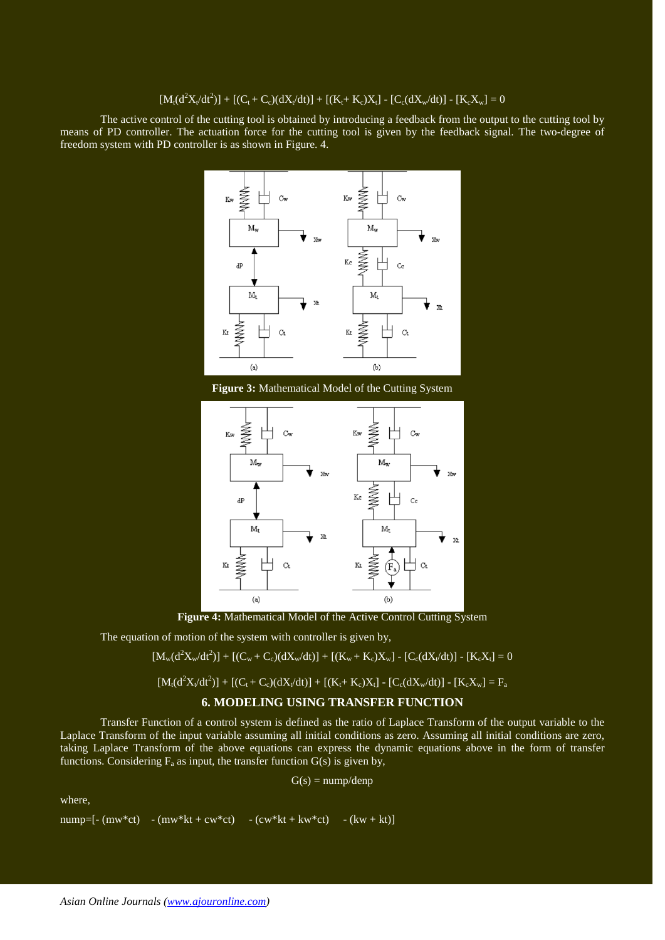$$
[M_t (d^2 X_t/dt^2)] + [(C_t + C_c)(dX_t/dt)] + [(K_t + K_c)X_t] - [C_c (dX_w/dt)] - [K_c X_w] = 0
$$

The active control of the cutting tool is obtained by introducing a feedback from the output to the cutting tool by means of PD controller. The actuation force for the cutting tool is given by the feedback signal. The two-degree of freedom system with PD controller is as shown in Figure. 4.



**Figure 3:** Mathematical Model of the Cutting System



**Figure 4:** Mathematical Model of the Active Control Cutting System

The equation of motion of the system with controller is given by,

$$
[M_w(d^2X_w/dt^2)] + [(C_w + C_c)(dX_w/dt)] + [(K_w + K_c)X_w] - [C_c(dX_t/dt)] - [K_cX_t] = 0
$$

$$
[M_t(d^2X_t/dt^2)] + [(C_t + C_c)(dX_t/dt)] + [(K_t + K_c)X_t] - [C_c(dX_w/dt)] - [K_cX_w] = F_a
$$

## **6. MODELING USING TRANSFER FUNCTION**

Transfer Function of a control system is defined as the ratio of Laplace Transform of the output variable to the Laplace Transform of the input variable assuming all initial conditions as zero. Assuming all initial conditions are zero, taking Laplace Transform of the above equations can express the dynamic equations above in the form of transfer functions. Considering  $F_a$  as input, the transfer function  $G(s)$  is given by,

$$
G(s) = \text{nump/denp}
$$

where,

$$
number[- (mw * ct) - (mw * kt + cw * ct) - (cw * kt + kw * ct) - (kw + kt)]
$$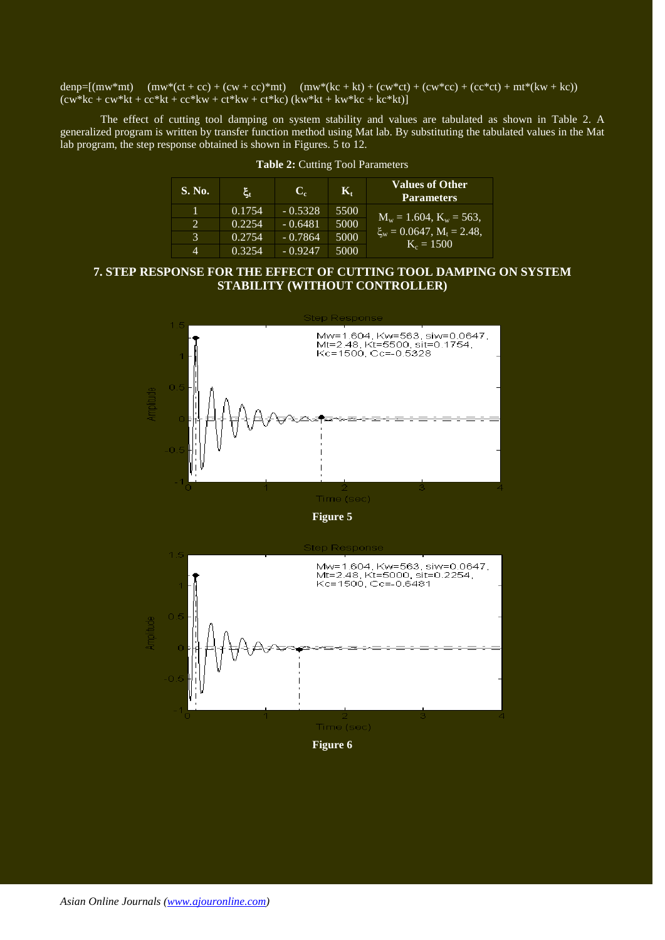denp=[(mw\*mt) (mw\*(ct + cc) + (cw + cc)\*mt) (mw\*(kc + kt) + (cw\*ct) + (cw\*cc) + (cc\*ct) + mt\*(kw + kc))  $(cw*kc + cw*kt + cc*kt + cc*kw + ct*kw + ct*kc)$   $(kw*kt + kw*kc + kc*kt)$ ]

The effect of cutting tool damping on system stability and values are tabulated as shown in Table 2. A generalized program is written by transfer function method using Mat lab. By substituting the tabulated values in the Mat lab program, the step response obtained is shown in Figures. 5 to 12.

| S. No.                      | ιξ,    | C.        | К.   | Values of Other<br><b>Parameters</b>              |
|-----------------------------|--------|-----------|------|---------------------------------------------------|
|                             | 0.1754 | $-0.5328$ | 5500 |                                                   |
| $\mathcal{D}_{\mathcal{L}}$ | 0.2254 | $-0.6481$ | 5000 | $M_w = 1.604$ , $K_w = 563$ ,                     |
| 3                           | 0.2754 | $-0.7864$ | 5000 | $\xi_w = 0.0647$ , $M_t = 2.48$ ,<br>$K_c = 1500$ |
| 4                           | 0.3254 | $-0.9247$ | 5000 |                                                   |

## **Table 2:** Cutting Tool Parameters

# **7. STEP RESPONSE FOR THE EFFECT OF CUTTING TOOL DAMPING ON SYSTEM STABILITY (WITHOUT CONTROLLER)**



**Figure 6**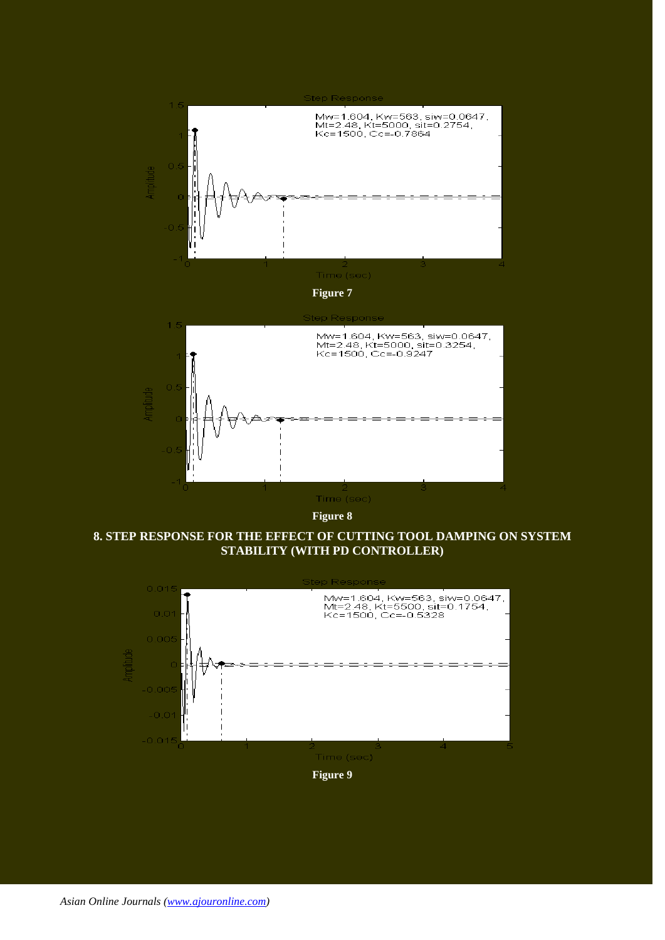

**Figure 8**

**8. STEP RESPONSE FOR THE EFFECT OF CUTTING TOOL DAMPING ON SYSTEM STABILITY (WITH PD CONTROLLER)**

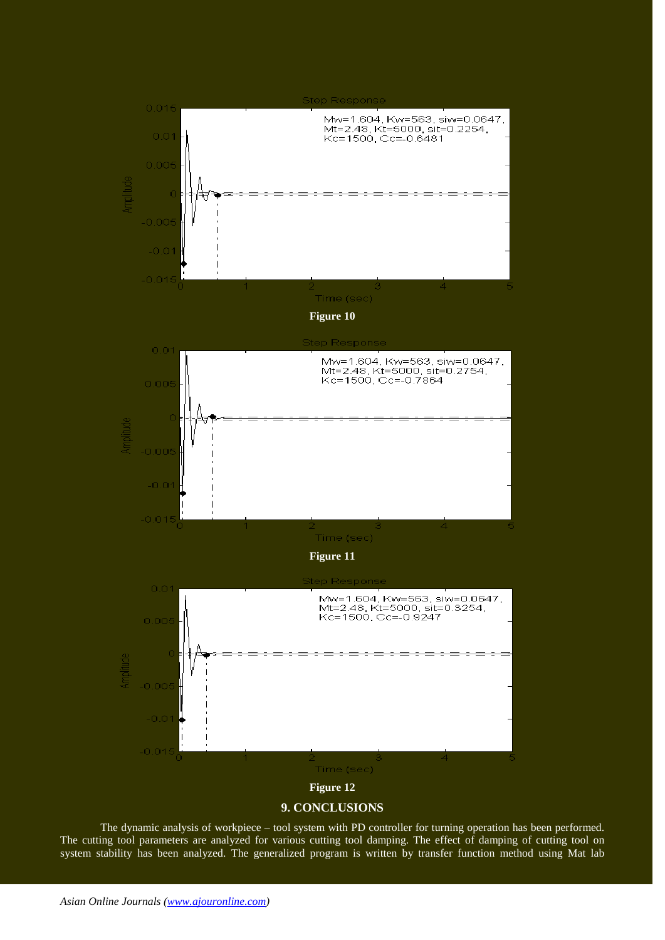

## **9. CONCLUSIONS**

The dynamic analysis of workpiece – tool system with PD controller for turning operation has been performed. The cutting tool parameters are analyzed for various cutting tool damping. The effect of damping of cutting tool on system stability has been analyzed. The generalized program is written by transfer function method using Mat lab